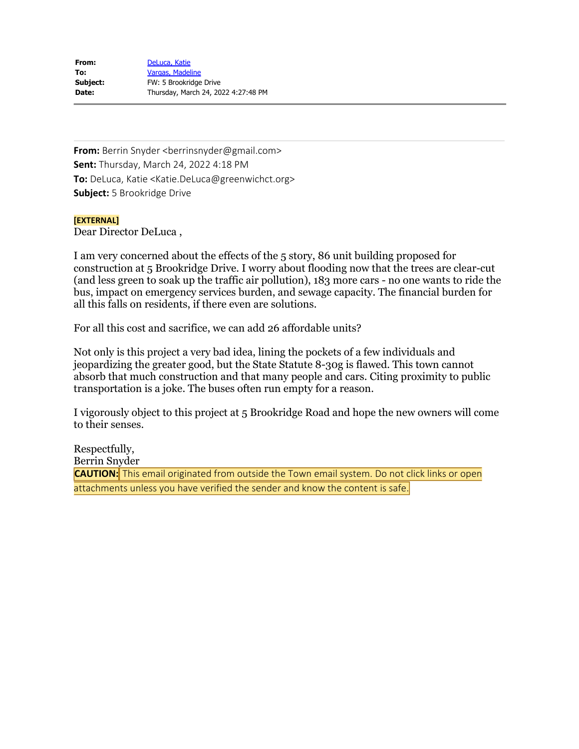| From:    | DeLuca, Katie                       |
|----------|-------------------------------------|
| To:      | Vargas, Madeline                    |
| Subject: | FW: 5 Brookridge Drive              |
| Date:    | Thursday, March 24, 2022 4:27:48 PM |

**From:** Berrin Snyder <berrinsnyder@gmail.com> **Sent:** Thursday, March 24, 2022 4:18 PM **To:** DeLuca, Katie <Katie.DeLuca@greenwichct.org> **Subject:** 5 Brookridge Drive

# **[EXTERNAL]**

Dear Director DeLuca ,

I am very concerned about the effects of the 5 story, 86 unit building proposed for construction at 5 Brookridge Drive. I worry about flooding now that the trees are clear-cut (and less green to soak up the traffic air pollution), 183 more cars - no one wants to ride the bus, impact on emergency services burden, and sewage capacity. The financial burden for all this falls on residents, if there even are solutions.

For all this cost and sacrifice, we can add 26 affordable units?

Not only is this project a very bad idea, lining the pockets of a few individuals and jeopardizing the greater good, but the State Statute 8-30g is flawed. This town cannot absorb that much construction and that many people and cars. Citing proximity to public transportation is a joke. The buses often run empty for a reason.

I vigorously object to this project at 5 Brookridge Road and hope the new owners will come to their senses.

Respectfully, Berrin Snyder **CAUTION:** This email originated from outside the Town email system. Do not click links or open attachments unless you have verified the sender and know the content is safe.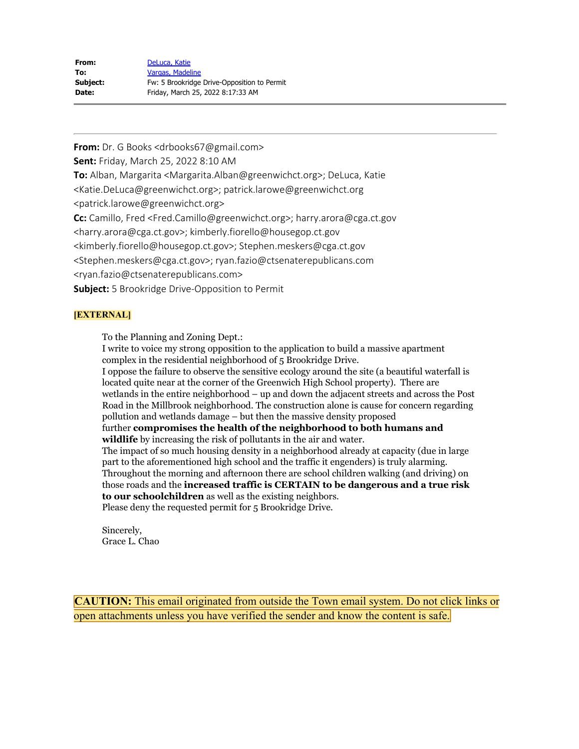| From:    | DeLuca, Katie                               |
|----------|---------------------------------------------|
| To:      | Vargas, Madeline                            |
| Subject: | Fw: 5 Brookridge Drive-Opposition to Permit |
| Date:    | Friday, March 25, 2022 8:17:33 AM           |

**From:** Dr. G Books <drbooks67@gmail.com> **Sent:** Friday, March 25, 2022 8:10 AM **To:** Alban, Margarita <Margarita.Alban@greenwichct.org>; DeLuca, Katie <Katie.DeLuca@greenwichct.org>; patrick.larowe@greenwichct.org <patrick.larowe@greenwichct.org> **Cc:** Camillo, Fred <Fred.Camillo@greenwichct.org>; harry.arora@cga.ct.gov <harry.arora@cga.ct.gov>; kimberly.fiorello@housegop.ct.gov <kimberly.fiorello@housegop.ct.gov>; Stephen.meskers@cga.ct.gov <Stephen.meskers@cga.ct.gov>; ryan.fazio@ctsenaterepublicans.com <ryan.fazio@ctsenaterepublicans.com> **Subject:** 5 Brookridge Drive-Opposition to Permit

# **[EXTERNAL]**

To the Planning and Zoning Dept.:

I write to voice my strong opposition to the application to build a massive apartment complex in the residential neighborhood of 5 Brookridge Drive.

I oppose the failure to observe the sensitive ecology around the site (a beautiful waterfall is located quite near at the corner of the Greenwich High School property). There are wetlands in the entire neighborhood – up and down the adjacent streets and across the Post Road in the Millbrook neighborhood. The construction alone is cause for concern regarding pollution and wetlands damage – but then the massive density proposed

further **compromises the health of the neighborhood to both humans and wildlife** by increasing the risk of pollutants in the air and water.

The impact of so much housing density in a neighborhood already at capacity (due in large part to the aforementioned high school and the traffic it engenders) is truly alarming. Throughout the morning and afternoon there are school children walking (and driving) on those roads and the **increased traffic is CERTAIN to be dangerous and a true risk to our schoolchildren** as well as the existing neighbors.

Please deny the requested permit for 5 Brookridge Drive.

Sincerely, Grace L. Chao

**CAUTION:** This email originated from outside the Town email system. Do not click links or open attachments unless you have verified the sender and know the content is safe.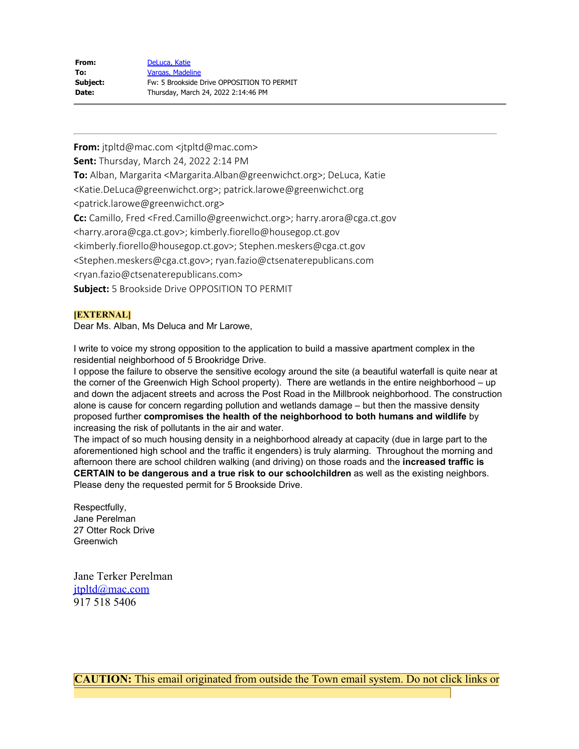| From:    | DeLuca, Katie                              |
|----------|--------------------------------------------|
| To:      | Vargas, Madeline                           |
| Subject: | Fw: 5 Brookside Drive OPPOSITION TO PERMIT |
| Date:    | Thursday, March 24, 2022 2:14:46 PM        |

**From:** jtpltd@mac.com <jtpltd@mac.com> **Sent:** Thursday, March 24, 2022 2:14 PM **To:** Alban, Margarita <Margarita.Alban@greenwichct.org>; DeLuca, Katie <Katie.DeLuca@greenwichct.org>; patrick.larowe@greenwichct.org <patrick.larowe@greenwichct.org> **Cc:** Camillo, Fred <Fred.Camillo@greenwichct.org>; harry.arora@cga.ct.gov <harry.arora@cga.ct.gov>; kimberly.fiorello@housegop.ct.gov <kimberly.fiorello@housegop.ct.gov>; Stephen.meskers@cga.ct.gov <Stephen.meskers@cga.ct.gov>; ryan.fazio@ctsenaterepublicans.com <ryan.fazio@ctsenaterepublicans.com> **Subject:** 5 Brookside Drive OPPOSITION TO PERMIT

# **[EXTERNAL]**

Dear Ms. Alban, Ms Deluca and Mr Larowe,

I write to voice my strong opposition to the application to build a massive apartment complex in the residential neighborhood of 5 Brookridge Drive.

I oppose the failure to observe the sensitive ecology around the site (a beautiful waterfall is quite near at the corner of the Greenwich High School property). There are wetlands in the entire neighborhood – up and down the adjacent streets and across the Post Road in the Millbrook neighborhood. The construction alone is cause for concern regarding pollution and wetlands damage – but then the massive density proposed further **compromises the health of the neighborhood to both humans and wildlife** by increasing the risk of pollutants in the air and water.

The impact of so much housing density in a neighborhood already at capacity (due in large part to the aforementioned high school and the traffic it engenders) is truly alarming. Throughout the morning and afternoon there are school children walking (and driving) on those roads and the **increased traffic is CERTAIN to be dangerous and a true risk to our schoolchildren** as well as the existing neighbors. Please deny the requested permit for 5 Brookside Drive.

Respectfully, Jane Perelman 27 Otter Rock Drive **Greenwich** 

Jane Terker Perelman [jtpltd@mac.com](mailto:jtpltd@mac.com) 917 518 5406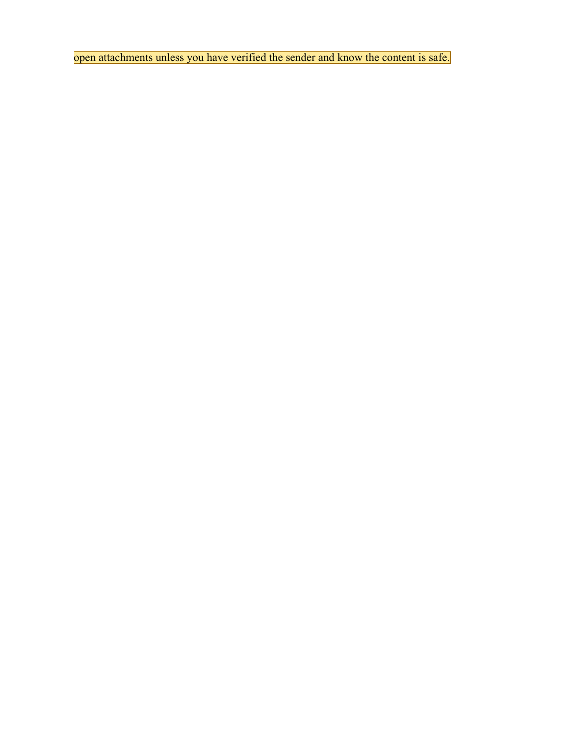open attachments unless you have verified the sender and know the content is safe.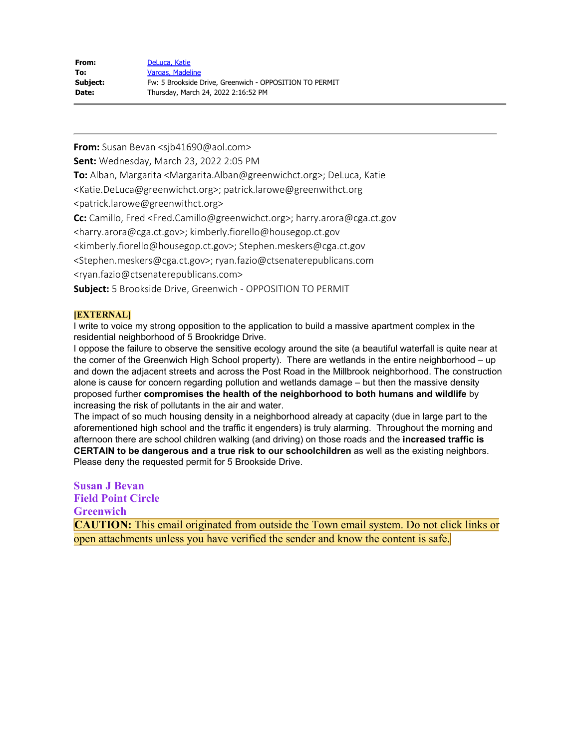| From:        | DeLuca, Katie                                           |
|--------------|---------------------------------------------------------|
| To:          | Vargas, Madeline                                        |
| Subject:     | Fw: 5 Brookside Drive, Greenwich - OPPOSITION TO PERMIT |
| <b>Date:</b> | Thursday, March 24, 2022 2:16:52 PM                     |

**From:** Susan Bevan <sjb41690@aol.com>

**Sent:** Wednesday, March 23, 2022 2:05 PM

**To:** Alban, Margarita <Margarita.Alban@greenwichct.org>; DeLuca, Katie

<Katie.DeLuca@greenwichct.org>; patrick.larowe@greenwithct.org

<patrick.larowe@greenwithct.org>

**Cc:** Camillo, Fred <Fred.Camillo@greenwichct.org>; harry.arora@cga.ct.gov

<harry.arora@cga.ct.gov>; kimberly.fiorello@housegop.ct.gov

<kimberly.fiorello@housegop.ct.gov>; Stephen.meskers@cga.ct.gov

<Stephen.meskers@cga.ct.gov>; ryan.fazio@ctsenaterepublicans.com

<ryan.fazio@ctsenaterepublicans.com>

**Subject:** 5 Brookside Drive, Greenwich - OPPOSITION TO PERMIT

#### **[EXTERNAL]**

I write to voice my strong opposition to the application to build a massive apartment complex in the residential neighborhood of 5 Brookridge Drive.

I oppose the failure to observe the sensitive ecology around the site (a beautiful waterfall is quite near at the corner of the Greenwich High School property). There are wetlands in the entire neighborhood – up and down the adjacent streets and across the Post Road in the Millbrook neighborhood. The construction alone is cause for concern regarding pollution and wetlands damage – but then the massive density proposed further **compromises the health of the neighborhood to both humans and wildlife** by increasing the risk of pollutants in the air and water.

The impact of so much housing density in a neighborhood already at capacity (due in large part to the aforementioned high school and the traffic it engenders) is truly alarming. Throughout the morning and afternoon there are school children walking (and driving) on those roads and the **increased traffic is CERTAIN to be dangerous and a true risk to our schoolchildren** as well as the existing neighbors. Please deny the requested permit for 5 Brookside Drive.

**Susan J Bevan Field Point Circle Greenwich CAUTION:** This email originated from outside the Town email system. Do not click links or open attachments unless you have verified the sender and know the content is safe.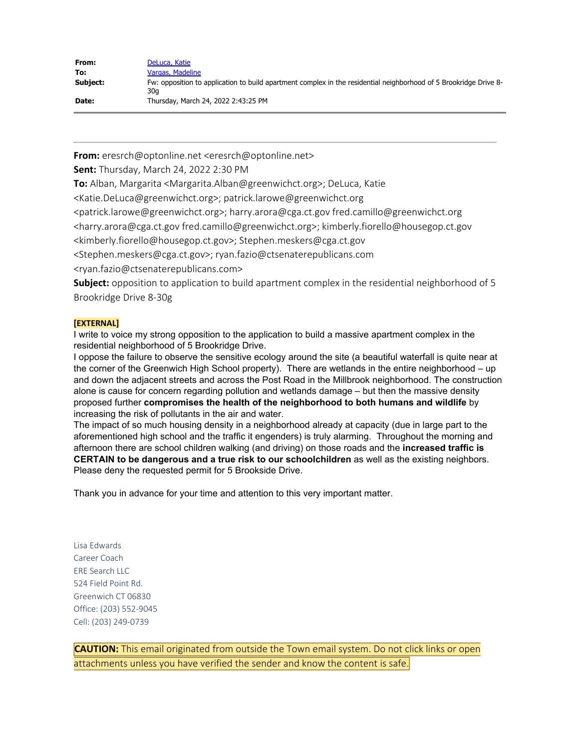| From:    | DeLuca, Katie                                                                                                            |
|----------|--------------------------------------------------------------------------------------------------------------------------|
| To:      | Vargas, Madeline                                                                                                         |
| Subject: | Fw: opposition to application to build apartment complex in the residential neighborhood of 5 Brookridge Drive 8-<br>30a |
| Date:    | Thursday, March 24, 2022 2:43:25 PM                                                                                      |

**From:** eresrch@optonline.net <eresrch@optonline.net>

**Sent:** Thursday, March 24, 2022 2:30 PM

**To:** Alban, Margarita <Margarita.Alban@greenwichct.org>; DeLuca, Katie

<Katie.DeLuca@greenwichct.org>; patrick.larowe@greenwichct.org

<patrick.larowe@greenwichct.org>; harry.arora@cga.ct.gov fred.camillo@greenwichct.org

<harry.arora@cga.ct.gov fred.camillo@greenwichct.org>; kimberly.fiorello@housegop.ct.gov

<kimberly.fiorello@housegop.ct.gov>; Stephen.meskers@cga.ct.gov

<Stephen.meskers@cga.ct.gov>; ryan.fazio@ctsenaterepublicans.com

<ryan.fazio@ctsenaterepublicans.com>

**Subject:** opposition to application to build apartment complex in the residential neighborhood of 5 Brookridge Drive 8-30g

# **[EXTERNAL]**

I write to voice my strong opposition to the application to build a massive apartment complex in the residential neighborhood of 5 Brookridge Drive.

I oppose the failure to observe the sensitive ecology around the site (a beautiful waterfall is quite near at the corner of the Greenwich High School property). There are wetlands in the entire neighborhood – up and down the adjacent streets and across the Post Road in the Millbrook neighborhood. The construction alone is cause for concern regarding pollution and wetlands damage – but then the massive density proposed further **compromises the health of the neighborhood to both humans and wildlife** by increasing the risk of pollutants in the air and water.

The impact of so much housing density in a neighborhood already at capacity (due in large part to the aforementioned high school and the traffic it engenders) is truly alarming. Throughout the morning and afternoon there are school children walking (and driving) on those roads and the **increased traffic is CERTAIN to be dangerous and a true risk to our schoolchildren** as well as the existing neighbors. Please deny the requested permit for 5 Brookside Drive.

Thank you in advance for your time and attention to this very important matter.

Lisa Edwards Career Coach ERE Search LLC 524 Field Point Rd. Greenwich CT 06830 Office: (203) 552-9045 Cell: (203) 249-0739

**CAUTION:** This email originated from outside the Town email system. Do not click links or open attachments unless you have verified the sender and know the content is safe.